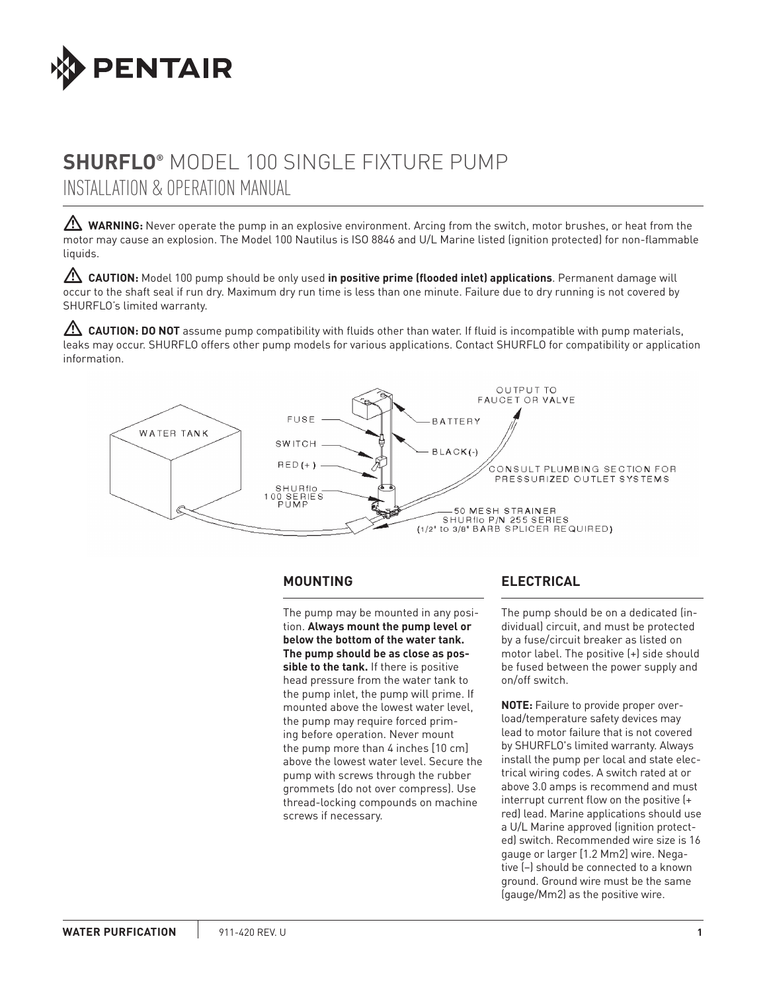

# **SHURFLO®** Model 100 single fixture pump installation & operation manual

WARNING: Never operate the pump in an explosive environment. Arcing from the switch, motor brushes, or heat from the motor may cause an explosion. The Model 100 Nautilus is ISO 8846 and U/L Marine listed (ignition protected) for non-flammable liquids.

 **CAUTION:** Model 100 pump should be only used **in positive prime (flooded inlet) applications**. Permanent damage will occur to the shaft seal if run dry. Maximum dry run time is less than one minute. Failure due to dry running is not covered by SHURFLO's limited warranty.

**AUTION: DO NOT** assume pump compatibility with fluids other than water. If fluid is incompatible with pump materials, leaks may occur. SHURFLO offers other pump models for various applications. Contact SHURFLO for compatibility or application information.



## **MOUNTING**

The pump may be mounted in any position. **Always mount the pump level or below the bottom of the water tank. The pump should be as close as possible to the tank.** If there is positive head pressure from the water tank to the pump inlet, the pump will prime. If mounted above the lowest water level, the pump may require forced priming before operation. Never mount the pump more than 4 inches [10 cm] above the lowest water level. Secure the pump with screws through the rubber grommets (do not over compress). Use thread-locking compounds on machine screws if necessary.

# **ELECTRICAL**

The pump should be on a dedicated (individual) circuit, and must be protected by a fuse/circuit breaker as listed on motor label. The positive (+) side should be fused between the power supply and on/off switch.

**NOTE:** Failure to provide proper overload/temperature safety devices may lead to motor failure that is not covered by SHURFLO's limited warranty. Always install the pump per local and state electrical wiring codes. A switch rated at or above 3.0 amps is recommend and must interrupt current flow on the positive (+ red) lead. Marine applications should use a U/L Marine approved (ignition protected) switch. Recommended wire size is 16 gauge or larger [1.2 Mm2] wire. Negative (–) should be connected to a known ground. Ground wire must be the same (gauge/Mm2) as the positive wire.